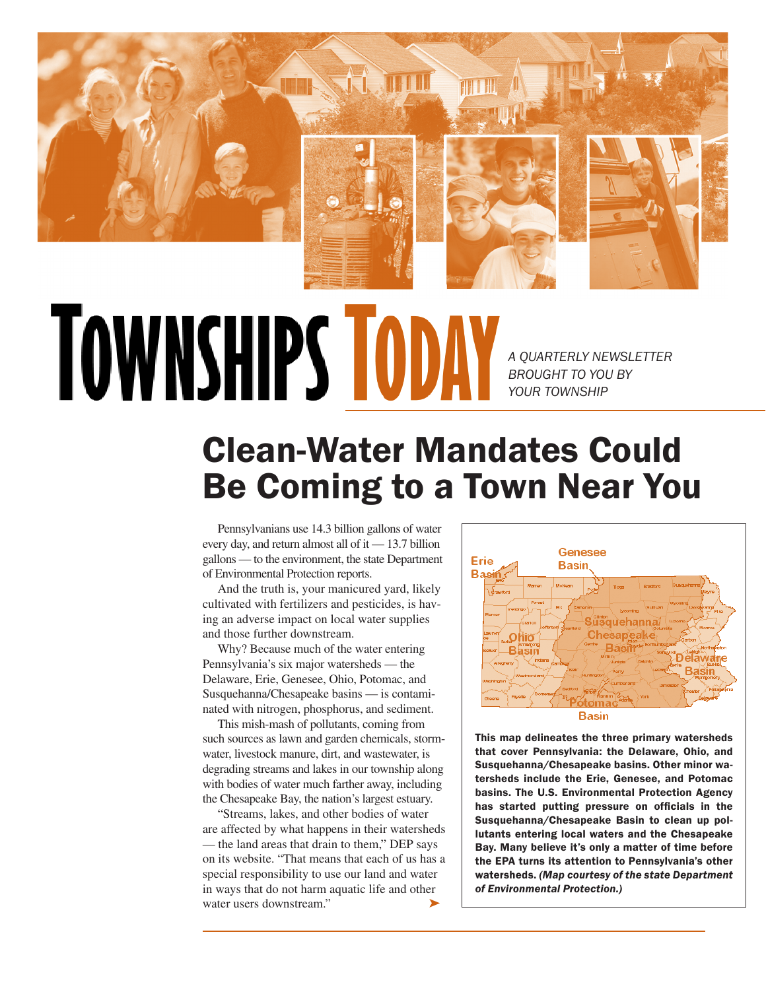

## **TOWNSHIPS TODA**

*A QUARTERLY NEWSLETTER BROUGHT TO YOU BY YOUR TOWNSHIP*

## Clean-Water Mandates Could Be Coming to a Town Near You

Pennsylvanians use 14.3 billion gallons of water every day, and return almost all of it — 13.7 billion gallons — to the environment, the state Department of Environmental Protection reports.

And the truth is, your manicured yard, likely cultivated with fertilizers and pesticides, is having an adverse impact on local water supplies and those further downstream.

Why? Because much of the water entering Pennsylvania's six major watersheds — the Delaware, Erie, Genesee, Ohio, Potomac, and Susquehanna/Chesapeake basins — is contaminated with nitrogen, phosphorus, and sediment.

This mish-mash of pollutants, coming from such sources as lawn and garden chemicals, stormwater, livestock manure, dirt, and wastewater, is degrading streams and lakes in our township along with bodies of water much farther away, including the Chesapeake Bay, the nation's largest estuary.

➤ "Streams, lakes, and other bodies of water are affected by what happens in their watersheds — the land areas that drain to them," DEP says on its website. "That means that each of us has a special responsibility to use our land and water in ways that do not harm aquatic life and other water users downstream."



This map delineates the three primary watersheds that cover Pennsylvania: the Delaware, Ohio, and Susquehanna/Chesapeake basins. Other minor watersheds include the Erie, Genesee, and Potomac basins. The U.S. Environmental Protection Agency has started putting pressure on officials in the Susquehanna/Chesapeake Basin to clean up pollutants entering local waters and the Chesapeake Bay. Many believe it's only a matter of time before the EPA turns its attention to Pennsylvania's other watersheds. *(Map courtesy of the state Department of Environmental Protection.)*